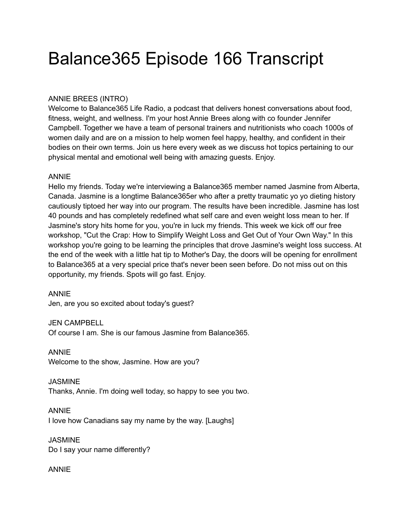# Balance365 Episode 166 Transcript

### ANNIE BREES (INTRO)

Welcome to Balance365 Life Radio, a podcast that delivers honest conversations about food, fitness, weight, and wellness. I'm your host Annie Brees along with co founder Jennifer Campbell. Together we have a team of personal trainers and nutritionists who coach 1000s of women daily and are on a mission to help women feel happy, healthy, and confident in their bodies on their own terms. Join us here every week as we discuss hot topics pertaining to our physical mental and emotional well being with amazing guests. Enjoy.

### ANNIE

Hello my friends. Today we're interviewing a Balance365 member named Jasmine from Alberta, Canada. Jasmine is a longtime Balance365er who after a pretty traumatic yo yo dieting history cautiously tiptoed her way into our program. The results have been incredible. Jasmine has lost 40 pounds and has completely redefined what self care and even weight loss mean to her. If Jasmine's story hits home for you, you're in luck my friends. This week we kick off our free workshop, "Cut the Crap: How to Simplify Weight Loss and Get Out of Your Own Way." In this workshop you're going to be learning the principles that drove Jasmine's weight loss success. At the end of the week with a little hat tip to Mother's Day, the doors will be opening for enrollment to Balance365 at a very special price that's never been seen before. Do not miss out on this opportunity, my friends. Spots will go fast. Enjoy.

#### ANNIE

Jen, are you so excited about today's guest?

#### JEN CAMPBELL

Of course I am. She is our famous Jasmine from Balance365.

# ANNIE

Welcome to the show, Jasmine. How are you?

#### **JASMINE** Thanks, Annie. I'm doing well today, so happy to see you two.

ANNIE I love how Canadians say my name by the way. [Laughs]

**JASMINE** Do I say your name differently?

### ANNIE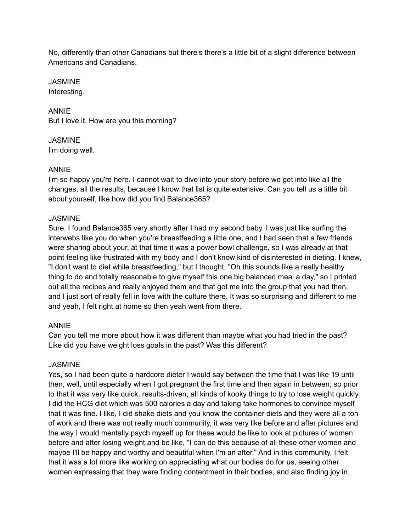No, differently than other Canadians but there's there's a little bit of a slight difference between Americans and Canadians.

**JASMINE** Interesting.

ANNIE But I love it. How are you this morning?

**JASMINE** I'm doing well.

### ANNIE

I'm so happy you're here. I cannot wait to dive into your story before we get into like all the changes, all the results, because I know that list is quite extensive. Can you tell us a little bit about yourself, like how did you find Balance365?

### JASMINE

Sure. I found Balance365 very shortly after I had my second baby. I was just like surfing the interwebs like you do when you're breastfeeding a little one, and I had seen that a few friends were sharing about your, at that time it was a power bowl challenge, so I was already at that point feeling like frustrated with my body and I don't know kind of disinterested in dieting. I knew, "I don't want to diet while breastfeeding," but I thought, "Oh this sounds like a really healthy thing to do and totally reasonable to give myself this one big balanced meal a day," so I printed out all the recipes and really enjoyed them and that got me into the group that you had then, and I just sort of really fell in love with the culture there. It was so surprising and different to me and yeah, I felt right at home so then yeah went from there.

### ANNIE

Can you tell me more about how it was different than maybe what you had tried in the past? Like did you have weight loss goals in the past? Was this different?

### JASMINE

Yes, so I had been quite a hardcore dieter I would say between the time that I was like 19 until then, well, until especially when I got pregnant the first time and then again in between, so prior to that it was very like quick, results-driven, all kinds of kooky things to try to lose weight quickly. I did the HCG diet which was 500 calories a day and taking fake hormones to convince myself that it was fine. I like, I did shake diets and you know the container diets and they were all a ton of work and there was not really much community, it was very like before and after pictures and the way I would mentally psych myself up for these would be like to look at pictures of women before and after losing weight and be like, "I can do this because of all these other women and maybe I'll be happy and worthy and beautiful when I'm an after." And in this community, I felt that it was a lot more like working on appreciating what our bodies do for us, seeing other women expressing that they were finding contentment in their bodies, and also finding joy in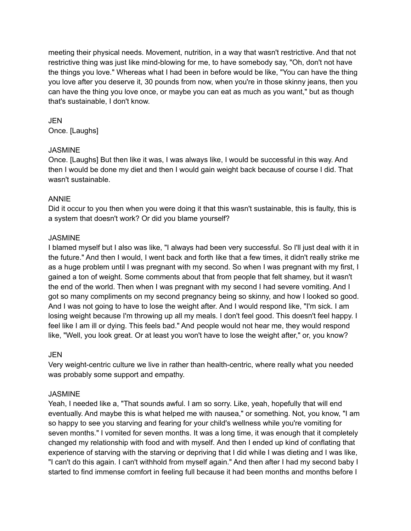meeting their physical needs. Movement, nutrition, in a way that wasn't restrictive. And that not restrictive thing was just like mind-blowing for me, to have somebody say, "Oh, don't not have the things you love." Whereas what I had been in before would be like, "You can have the thing you love after you deserve it, 30 pounds from now, when you're in those skinny jeans, then you can have the thing you love once, or maybe you can eat as much as you want," but as though that's sustainable, I don't know.

### JEN

Once. [Laughs]

#### **JASMINE**

Once. [Laughs] But then like it was, I was always like, I would be successful in this way. And then I would be done my diet and then I would gain weight back because of course I did. That wasn't sustainable.

#### ANNIE

Did it occur to you then when you were doing it that this wasn't sustainable, this is faulty, this is a system that doesn't work? Or did you blame yourself?

#### **JASMINE**

I blamed myself but I also was like, "I always had been very successful. So I'll just deal with it in the future." And then I would, I went back and forth like that a few times, it didn't really strike me as a huge problem until I was pregnant with my second. So when I was pregnant with my first, I gained a ton of weight. Some comments about that from people that felt shamey, but it wasn't the end of the world. Then when I was pregnant with my second I had severe vomiting. And I got so many compliments on my second pregnancy being so skinny, and how I looked so good. And I was not going to have to lose the weight after. And I would respond like, "I'm sick. I am losing weight because I'm throwing up all my meals. I don't feel good. This doesn't feel happy. I feel like I am ill or dying. This feels bad." And people would not hear me, they would respond like, "Well, you look great. Or at least you won't have to lose the weight after," or, you know?

#### JEN

Very weight-centric culture we live in rather than health-centric, where really what you needed was probably some support and empathy.

#### JASMINE

Yeah, I needed like a, "That sounds awful. I am so sorry. Like, yeah, hopefully that will end eventually. And maybe this is what helped me with nausea," or something. Not, you know, "I am so happy to see you starving and fearing for your child's wellness while you're vomiting for seven months." I vomited for seven months. It was a long time, it was enough that it completely changed my relationship with food and with myself. And then I ended up kind of conflating that experience of starving with the starving or depriving that I did while I was dieting and I was like, "I can't do this again. I can't withhold from myself again." And then after I had my second baby I started to find immense comfort in feeling full because it had been months and months before I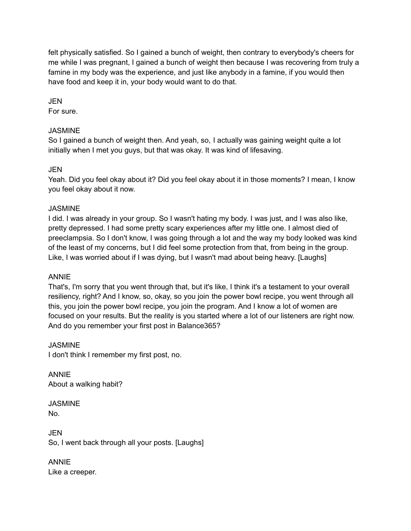felt physically satisfied. So I gained a bunch of weight, then contrary to everybody's cheers for me while I was pregnant, I gained a bunch of weight then because I was recovering from truly a famine in my body was the experience, and just like anybody in a famine, if you would then have food and keep it in, your body would want to do that.

JEN

For sure.

### **JASMINE**

So I gained a bunch of weight then. And yeah, so, I actually was gaining weight quite a lot initially when I met you guys, but that was okay. It was kind of lifesaving.

### **JEN**

Yeah. Did you feel okay about it? Did you feel okay about it in those moments? I mean, I know you feel okay about it now.

### **JASMINE**

I did. I was already in your group. So I wasn't hating my body. I was just, and I was also like, pretty depressed. I had some pretty scary experiences after my little one. I almost died of preeclampsia. So I don't know, I was going through a lot and the way my body looked was kind of the least of my concerns, but I did feel some protection from that, from being in the group. Like, I was worried about if I was dying, but I wasn't mad about being heavy. [Laughs]

### ANNIE

That's, I'm sorry that you went through that, but it's like, I think it's a testament to your overall resiliency, right? And I know, so, okay, so you join the power bowl recipe, you went through all this, you join the power bowl recipe, you join the program. And I know a lot of women are focused on your results. But the reality is you started where a lot of our listeners are right now. And do you remember your first post in Balance365?

**JASMINE** I don't think I remember my first post, no.

ANNIE About a walking habit?

**JASMINE** No.

JEN So, I went back through all your posts. [Laughs]

ANNIE Like a creeper.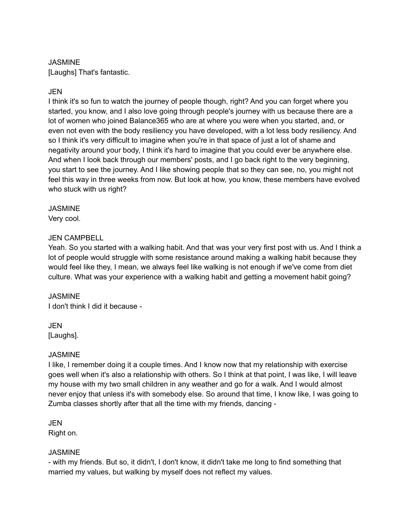### **JASMINE**

[Laughs] That's fantastic.

### JEN

I think it's so fun to watch the journey of people though, right? And you can forget where you started, you know, and I also love going through people's journey with us because there are a lot of women who joined Balance365 who are at where you were when you started, and, or even not even with the body resiliency you have developed, with a lot less body resiliency. And so I think it's very difficult to imagine when you're in that space of just a lot of shame and negativity around your body, I think it's hard to imagine that you could ever be anywhere else. And when I look back through our members' posts, and I go back right to the very beginning, you start to see the journey. And I like showing people that so they can see, no, you might not feel this way in three weeks from now. But look at how, you know, these members have evolved who stuck with us right?

#### **JASMINE**

Very cool.

### JEN CAMPBELL

Yeah. So you started with a walking habit. And that was your very first post with us. And I think a lot of people would struggle with some resistance around making a walking habit because they would feel like they, I mean, we always feel like walking is not enough if we've come from diet culture. What was your experience with a walking habit and getting a movement habit going?

### **JASMINE**

I don't think I did it because -

JEN [Laughs].

### **JASMINE**

I like, I remember doing it a couple times. And I know now that my relationship with exercise goes well when it's also a relationship with others. So I think at that point, I was like, I will leave my house with my two small children in any weather and go for a walk. And I would almost never enjoy that unless it's with somebody else. So around that time, I know like, I was going to Zumba classes shortly after that all the time with my friends, dancing -

#### JEN Right on.

### **JASMINE**

- with my friends. But so, it didn't, I don't know, it didn't take me long to find something that married my values, but walking by myself does not reflect my values.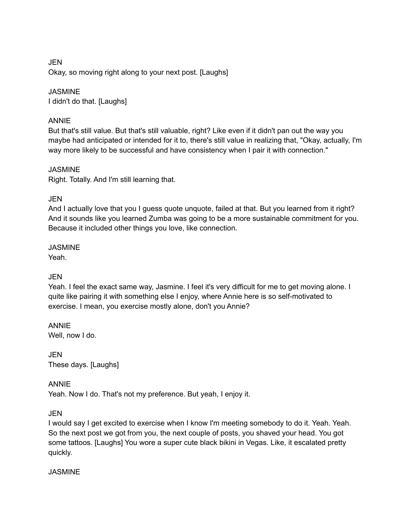JEN Okay, so moving right along to your next post. [Laughs]

### **JASMINE**

I didn't do that. [Laughs]

### ANNIE

But that's still value. But that's still valuable, right? Like even if it didn't pan out the way you maybe had anticipated or intended for it to, there's still value in realizing that, "Okay, actually, I'm way more likely to be successful and have consistency when I pair it with connection."

### **JASMINE**

Right. Totally. And I'm still learning that.

### JEN

And I actually love that you I guess quote unquote, failed at that. But you learned from it right? And it sounds like you learned Zumba was going to be a more sustainable commitment for you. Because it included other things you love, like connection.

#### JASMINE Yeah.

### **JEN**

Yeah. I feel the exact same way, Jasmine. I feel it's very difficult for me to get moving alone. I quite like pairing it with something else I enjoy, where Annie here is so self-motivated to exercise. I mean, you exercise mostly alone, don't you Annie?

ANNIE Well, now I do.

JEN These days. [Laughs]

ANNIE Yeah. Now I do. That's not my preference. But yeah, I enjoy it.

### JEN

I would say I get excited to exercise when I know I'm meeting somebody to do it. Yeah. Yeah. So the next post we got from you, the next couple of posts, you shaved your head. You got some tattoos. [Laughs] You wore a super cute black bikini in Vegas. Like, it escalated pretty quickly.

### JASMINE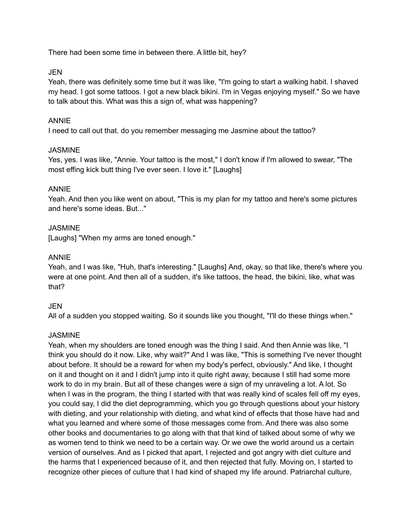There had been some time in between there. A little bit, hey?

#### JEN

Yeah, there was definitely some time but it was like, "I'm going to start a walking habit. I shaved my head. I got some tattoos. I got a new black bikini. I'm in Vegas enjoying myself." So we have to talk about this. What was this a sign of, what was happening?

### ANNIE

I need to call out that. do you remember messaging me Jasmine about the tattoo?

#### JASMINE

Yes, yes. I was like, "Annie. Your tattoo is the most," I don't know if I'm allowed to swear, "The most effing kick butt thing I've ever seen. I love it." [Laughs]

#### ANNIE

Yeah. And then you like went on about, "This is my plan for my tattoo and here's some pictures and here's some ideas. But..."

#### **JASMINE**

[Laughs] "When my arms are toned enough."

#### ANNIE

Yeah, and I was like, "Huh, that's interesting." [Laughs] And, okay, so that like, there's where you were at one point. And then all of a sudden, it's like tattoos, the head, the bikini, like, what was that?

### JEN

All of a sudden you stopped waiting. So it sounds like you thought, "I'll do these things when."

### **JASMINE**

Yeah, when my shoulders are toned enough was the thing I said. And then Annie was like, "I think you should do it now. Like, why wait?" And I was like, "This is something I've never thought about before. It should be a reward for when my body's perfect, obviously." And like, I thought on it and thought on it and I didn't jump into it quite right away, because I still had some more work to do in my brain. But all of these changes were a sign of my unraveling a lot. A lot. So when I was in the program, the thing I started with that was really kind of scales fell off my eyes, you could say, I did the diet deprogramming, which you go through questions about your history with dieting, and your relationship with dieting, and what kind of effects that those have had and what you learned and where some of those messages come from. And there was also some other books and documentaries to go along with that that kind of talked about some of why we as women tend to think we need to be a certain way. Or we owe the world around us a certain version of ourselves. And as I picked that apart, I rejected and got angry with diet culture and the harms that I experienced because of it, and then rejected that fully. Moving on, I started to recognize other pieces of culture that I had kind of shaped my life around. Patriarchal culture,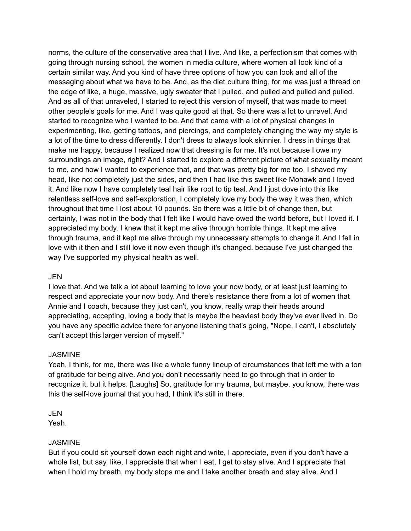norms, the culture of the conservative area that I live. And like, a perfectionism that comes with going through nursing school, the women in media culture, where women all look kind of a certain similar way. And you kind of have three options of how you can look and all of the messaging about what we have to be. And, as the diet culture thing, for me was just a thread on the edge of like, a huge, massive, ugly sweater that I pulled, and pulled and pulled and pulled. And as all of that unraveled, I started to reject this version of myself, that was made to meet other people's goals for me. And I was quite good at that. So there was a lot to unravel. And started to recognize who I wanted to be. And that came with a lot of physical changes in experimenting, like, getting tattoos, and piercings, and completely changing the way my style is a lot of the time to dress differently. I don't dress to always look skinnier. I dress in things that make me happy, because I realized now that dressing is for me. It's not because I owe my surroundings an image, right? And I started to explore a different picture of what sexuality meant to me, and how I wanted to experience that, and that was pretty big for me too. I shaved my head, like not completely just the sides, and then I had like this sweet like Mohawk and I loved it. And like now I have completely teal hair like root to tip teal. And I just dove into this like relentless self-love and self-exploration, I completely love my body the way it was then, which throughout that time I lost about 10 pounds. So there was a little bit of change then, but certainly, I was not in the body that I felt like I would have owed the world before, but I loved it. I appreciated my body. I knew that it kept me alive through horrible things. It kept me alive through trauma, and it kept me alive through my unnecessary attempts to change it. And I fell in love with it then and I still love it now even though it's changed. because I've just changed the way I've supported my physical health as well.

#### JEN

I love that. And we talk a lot about learning to love your now body, or at least just learning to respect and appreciate your now body. And there's resistance there from a lot of women that Annie and I coach, because they just can't, you know, really wrap their heads around appreciating, accepting, loving a body that is maybe the heaviest body they've ever lived in. Do you have any specific advice there for anyone listening that's going, "Nope, I can't, I absolutely can't accept this larger version of myself."

### **JASMINE**

Yeah, I think, for me, there was like a whole funny lineup of circumstances that left me with a ton of gratitude for being alive. And you don't necessarily need to go through that in order to recognize it, but it helps. [Laughs] So, gratitude for my trauma, but maybe, you know, there was this the self-love journal that you had, I think it's still in there.

JEN Yeah.

#### JASMINE

But if you could sit yourself down each night and write, I appreciate, even if you don't have a whole list, but say, like, I appreciate that when I eat, I get to stay alive. And I appreciate that when I hold my breath, my body stops me and I take another breath and stay alive. And I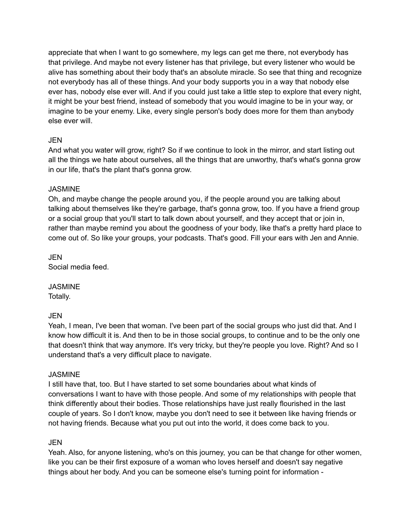appreciate that when I want to go somewhere, my legs can get me there, not everybody has that privilege. And maybe not every listener has that privilege, but every listener who would be alive has something about their body that's an absolute miracle. So see that thing and recognize not everybody has all of these things. And your body supports you in a way that nobody else ever has, nobody else ever will. And if you could just take a little step to explore that every night, it might be your best friend, instead of somebody that you would imagine to be in your way, or imagine to be your enemy. Like, every single person's body does more for them than anybody else ever will.

### JEN

And what you water will grow, right? So if we continue to look in the mirror, and start listing out all the things we hate about ourselves, all the things that are unworthy, that's what's gonna grow in our life, that's the plant that's gonna grow.

### **JASMINE**

Oh, and maybe change the people around you, if the people around you are talking about talking about themselves like they're garbage, that's gonna grow, too. If you have a friend group or a social group that you'll start to talk down about yourself, and they accept that or join in, rather than maybe remind you about the goodness of your body, like that's a pretty hard place to come out of. So like your groups, your podcasts. That's good. Fill your ears with Jen and Annie.

JEN Social media feed.

**JASMINE** Totally.

### JEN

Yeah, I mean, I've been that woman. I've been part of the social groups who just did that. And I know how difficult it is. And then to be in those social groups, to continue and to be the only one that doesn't think that way anymore. It's very tricky, but they're people you love. Right? And so I understand that's a very difficult place to navigate.

### **JASMINE**

I still have that, too. But I have started to set some boundaries about what kinds of conversations I want to have with those people. And some of my relationships with people that think differently about their bodies. Those relationships have just really flourished in the last couple of years. So I don't know, maybe you don't need to see it between like having friends or not having friends. Because what you put out into the world, it does come back to you.

### JEN

Yeah. Also, for anyone listening, who's on this journey, you can be that change for other women, like you can be their first exposure of a woman who loves herself and doesn't say negative things about her body. And you can be someone else's turning point for information -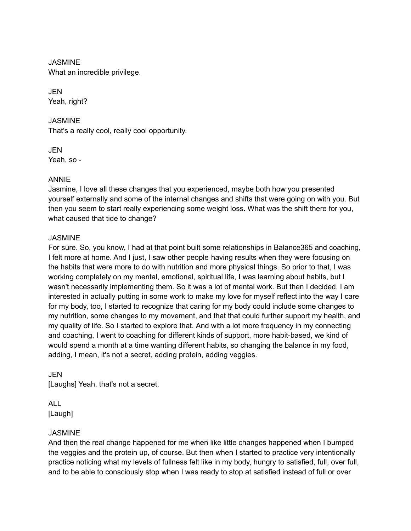**JASMINE** What an incredible privilege.

JEN Yeah, right?

JASMINE That's a really cool, really cool opportunity.

JEN Yeah, so -

### ANNIE

Jasmine, I love all these changes that you experienced, maybe both how you presented yourself externally and some of the internal changes and shifts that were going on with you. But then you seem to start really experiencing some weight loss. What was the shift there for you, what caused that tide to change?

### JASMINE

For sure. So, you know, I had at that point built some relationships in Balance365 and coaching, I felt more at home. And I just, I saw other people having results when they were focusing on the habits that were more to do with nutrition and more physical things. So prior to that, I was working completely on my mental, emotional, spiritual life, I was learning about habits, but I wasn't necessarily implementing them. So it was a lot of mental work. But then I decided, I am interested in actually putting in some work to make my love for myself reflect into the way I care for my body, too, I started to recognize that caring for my body could include some changes to my nutrition, some changes to my movement, and that that could further support my health, and my quality of life. So I started to explore that. And with a lot more frequency in my connecting and coaching, I went to coaching for different kinds of support, more habit-based, we kind of would spend a month at a time wanting different habits, so changing the balance in my food, adding, I mean, it's not a secret, adding protein, adding veggies.

JEN [Laughs] Yeah, that's not a secret.

ALL [Laugh]

### **JASMINE**

And then the real change happened for me when like little changes happened when I bumped the veggies and the protein up, of course. But then when I started to practice very intentionally practice noticing what my levels of fullness felt like in my body, hungry to satisfied, full, over full, and to be able to consciously stop when I was ready to stop at satisfied instead of full or over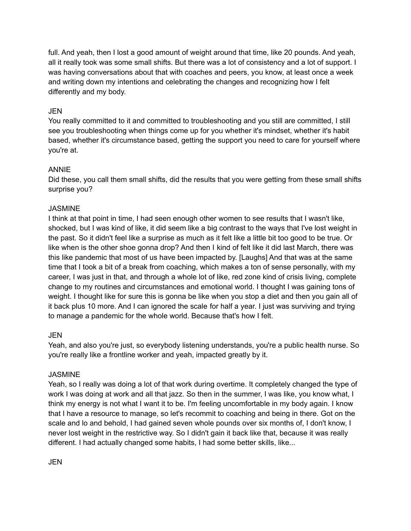full. And yeah, then I lost a good amount of weight around that time, like 20 pounds. And yeah, all it really took was some small shifts. But there was a lot of consistency and a lot of support. I was having conversations about that with coaches and peers, you know, at least once a week and writing down my intentions and celebrating the changes and recognizing how I felt differently and my body.

### JEN

You really committed to it and committed to troubleshooting and you still are committed, I still see you troubleshooting when things come up for you whether it's mindset, whether it's habit based, whether it's circumstance based, getting the support you need to care for yourself where you're at.

### ANNIE

Did these, you call them small shifts, did the results that you were getting from these small shifts surprise you?

### JASMINE

I think at that point in time, I had seen enough other women to see results that I wasn't like, shocked, but I was kind of like, it did seem like a big contrast to the ways that I've lost weight in the past. So it didn't feel like a surprise as much as it felt like a little bit too good to be true. Or like when is the other shoe gonna drop? And then I kind of felt like it did last March, there was this like pandemic that most of us have been impacted by. [Laughs] And that was at the same time that I took a bit of a break from coaching, which makes a ton of sense personally, with my career, I was just in that, and through a whole lot of like, red zone kind of crisis living, complete change to my routines and circumstances and emotional world. I thought I was gaining tons of weight. I thought like for sure this is gonna be like when you stop a diet and then you gain all of it back plus 10 more. And I can ignored the scale for half a year. I just was surviving and trying to manage a pandemic for the whole world. Because that's how I felt.

### JEN

Yeah, and also you're just, so everybody listening understands, you're a public health nurse. So you're really like a frontline worker and yeah, impacted greatly by it.

### **JASMINE**

Yeah, so I really was doing a lot of that work during overtime. It completely changed the type of work I was doing at work and all that jazz. So then in the summer, I was like, you know what, I think my energy is not what I want it to be. I'm feeling uncomfortable in my body again. I know that I have a resource to manage, so let's recommit to coaching and being in there. Got on the scale and lo and behold, I had gained seven whole pounds over six months of, I don't know, I never lost weight in the restrictive way. So I didn't gain it back like that, because it was really different. I had actually changed some habits, I had some better skills, like...

JEN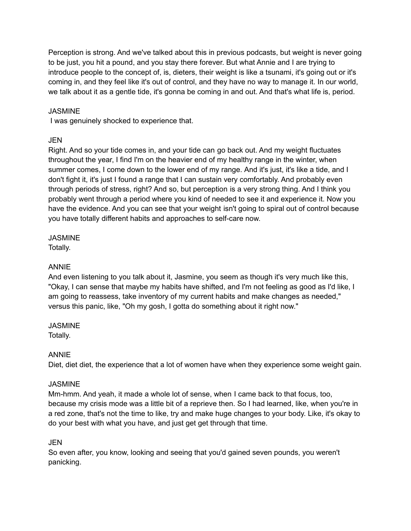Perception is strong. And we've talked about this in previous podcasts, but weight is never going to be just, you hit a pound, and you stay there forever. But what Annie and I are trying to introduce people to the concept of, is, dieters, their weight is like a tsunami, it's going out or it's coming in, and they feel like it's out of control, and they have no way to manage it. In our world, we talk about it as a gentle tide, it's gonna be coming in and out. And that's what life is, period.

### **JASMINE**

I was genuinely shocked to experience that.

### JEN

Right. And so your tide comes in, and your tide can go back out. And my weight fluctuates throughout the year, I find I'm on the heavier end of my healthy range in the winter, when summer comes, I come down to the lower end of my range. And it's just, it's like a tide, and I don't fight it, it's just I found a range that I can sustain very comfortably. And probably even through periods of stress, right? And so, but perception is a very strong thing. And I think you probably went through a period where you kind of needed to see it and experience it. Now you have the evidence. And you can see that your weight isn't going to spiral out of control because you have totally different habits and approaches to self-care now.

### **JASMINE**

Totally.

### ANNIE

And even listening to you talk about it, Jasmine, you seem as though it's very much like this, "Okay, I can sense that maybe my habits have shifted, and I'm not feeling as good as I'd like, I am going to reassess, take inventory of my current habits and make changes as needed," versus this panic, like, "Oh my gosh, I gotta do something about it right now."

### **JASMINE**

Totally.

### ANNIE

Diet, diet diet, the experience that a lot of women have when they experience some weight gain.

### **JASMINE**

Mm-hmm. And yeah, it made a whole lot of sense, when I came back to that focus, too, because my crisis mode was a little bit of a reprieve then. So I had learned, like, when you're in a red zone, that's not the time to like, try and make huge changes to your body. Like, it's okay to do your best with what you have, and just get get through that time.

### JEN

So even after, you know, looking and seeing that you'd gained seven pounds, you weren't panicking.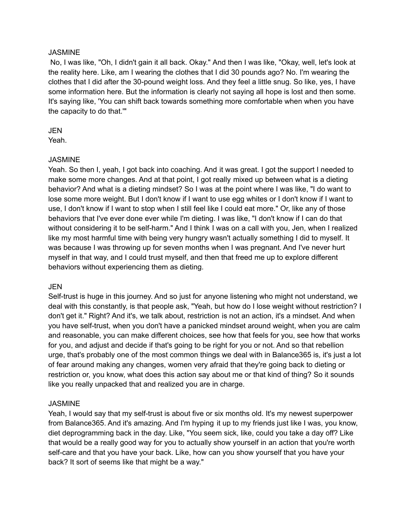#### **JASMINE**

No, I was like, "Oh, I didn't gain it all back. Okay." And then I was like, "Okay, well, let's look at the reality here. Like, am I wearing the clothes that I did 30 pounds ago? No. I'm wearing the clothes that I did after the 30-pound weight loss. And they feel a little snug. So like, yes, I have some information here. But the information is clearly not saying all hope is lost and then some. It's saying like, 'You can shift back towards something more comfortable when when you have the capacity to do that.'"

#### JEN

Yeah.

### **JASMINE**

Yeah. So then I, yeah, I got back into coaching. And it was great. I got the support I needed to make some more changes. And at that point, I got really mixed up between what is a dieting behavior? And what is a dieting mindset? So I was at the point where I was like, "I do want to lose some more weight. But I don't know if I want to use egg whites or I don't know if I want to use, I don't know if I want to stop when I still feel like I could eat more." Or, like any of those behaviors that I've ever done ever while I'm dieting. I was like, "I don't know if I can do that without considering it to be self-harm." And I think I was on a call with you, Jen, when I realized like my most harmful time with being very hungry wasn't actually something I did to myself. It was because I was throwing up for seven months when I was pregnant. And I've never hurt myself in that way, and I could trust myself, and then that freed me up to explore different behaviors without experiencing them as dieting.

### JEN

Self-trust is huge in this journey. And so just for anyone listening who might not understand, we deal with this constantly, is that people ask, "Yeah, but how do I lose weight without restriction? I don't get it." Right? And it's, we talk about, restriction is not an action, it's a mindset. And when you have self-trust, when you don't have a panicked mindset around weight, when you are calm and reasonable, you can make different choices, see how that feels for you, see how that works for you, and adjust and decide if that's going to be right for you or not. And so that rebellion urge, that's probably one of the most common things we deal with in Balance365 is, it's just a lot of fear around making any changes, women very afraid that they're going back to dieting or restriction or, you know, what does this action say about me or that kind of thing? So it sounds like you really unpacked that and realized you are in charge.

### **JASMINE**

Yeah, I would say that my self-trust is about five or six months old. It's my newest superpower from Balance365. And it's amazing. And I'm hyping it up to my friends just like I was, you know, diet deprogramming back in the day. Like, "You seem sick, like, could you take a day off? Like that would be a really good way for you to actually show yourself in an action that you're worth self-care and that you have your back. Like, how can you show yourself that you have your back? It sort of seems like that might be a way."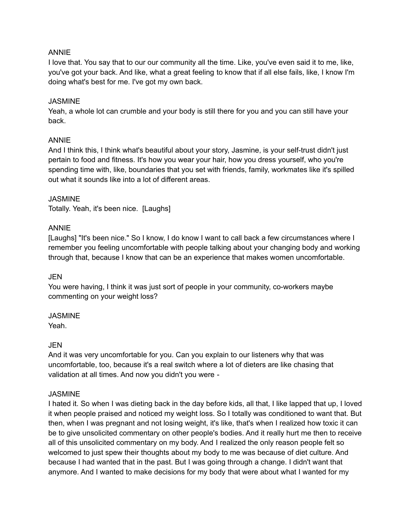#### ANNIE

I love that. You say that to our our community all the time. Like, you've even said it to me, like, you've got your back. And like, what a great feeling to know that if all else fails, like, I know I'm doing what's best for me. I've got my own back.

#### JASMINE

Yeah, a whole lot can crumble and your body is still there for you and you can still have your back.

#### ANNIE

And I think this, I think what's beautiful about your story, Jasmine, is your self-trust didn't just pertain to food and fitness. It's how you wear your hair, how you dress yourself, who you're spending time with, like, boundaries that you set with friends, family, workmates like it's spilled out what it sounds like into a lot of different areas.

#### **JASMINE**

Totally. Yeah, it's been nice. [Laughs]

#### ANNIE

[Laughs] "It's been nice." So I know, I do know I want to call back a few circumstances where I remember you feeling uncomfortable with people talking about your changing body and working through that, because I know that can be an experience that makes women uncomfortable.

#### **JEN**

You were having, I think it was just sort of people in your community, co-workers maybe commenting on your weight loss?

#### JASMINE

Yeah.

### JEN

And it was very uncomfortable for you. Can you explain to our listeners why that was uncomfortable, too, because it's a real switch where a lot of dieters are like chasing that validation at all times. And now you didn't you were -

#### JASMINE

I hated it. So when I was dieting back in the day before kids, all that, I like lapped that up, I loved it when people praised and noticed my weight loss. So I totally was conditioned to want that. But then, when I was pregnant and not losing weight, it's like, that's when I realized how toxic it can be to give unsolicited commentary on other people's bodies. And it really hurt me then to receive all of this unsolicited commentary on my body. And I realized the only reason people felt so welcomed to just spew their thoughts about my body to me was because of diet culture. And because I had wanted that in the past. But I was going through a change. I didn't want that anymore. And I wanted to make decisions for my body that were about what I wanted for my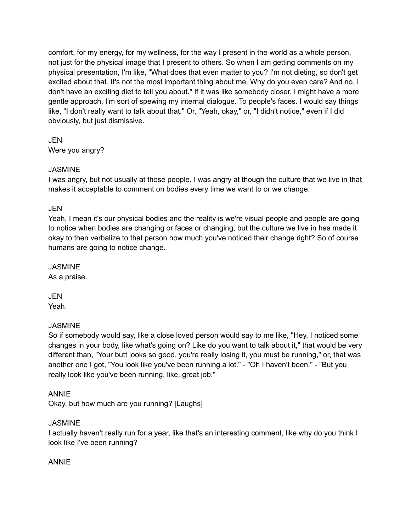comfort, for my energy, for my wellness, for the way I present in the world as a whole person, not just for the physical image that I present to others. So when I am getting comments on my physical presentation, I'm like, "What does that even matter to you? I'm not dieting, so don't get excited about that. It's not the most important thing about me. Why do you even care? And no, I don't have an exciting diet to tell you about." If it was like somebody closer, I might have a more gentle approach, I'm sort of spewing my internal dialogue. To people's faces. I would say things like, "I don't really want to talk about that." Or, "Yeah, okay," or, "I didn't notice," even if I did obviously, but just dismissive.

**JEN** Were you angry?

### **JASMINE**

I was angry, but not usually at those people. I was angry at though the culture that we live in that makes it acceptable to comment on bodies every time we want to or we change.

### JEN

Yeah, I mean it's our physical bodies and the reality is we're visual people and people are going to notice when bodies are changing or faces or changing, but the culture we live in has made it okay to then verbalize to that person how much you've noticed their change right? So of course humans are going to notice change.

**JASMINE** As a praise.

JEN Yeah.

### **JASMINE**

So if somebody would say, like a close loved person would say to me like, "Hey, I noticed some changes in your body, like what's going on? Like do you want to talk about it," that would be very different than, "Your butt looks so good, you're really losing it, you must be running," or, that was another one I got, "You look like you've been running a lot." - "Oh I haven't been." - "But you really look like you've been running, like, great job."

### ANNIE

Okay, but how much are you running? [Laughs]

### JASMINE

I actually haven't really run for a year, like that's an interesting comment, like why do you think I look like I've been running?

### ANNIE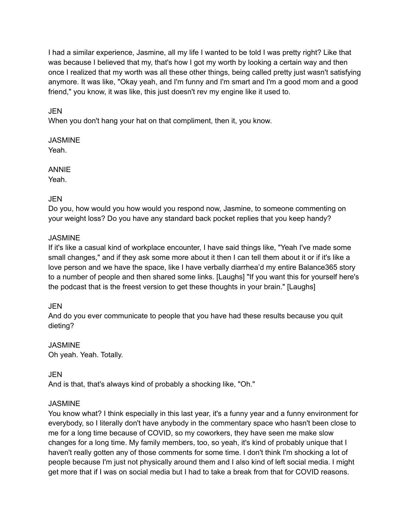I had a similar experience, Jasmine, all my life I wanted to be told I was pretty right? Like that was because I believed that my, that's how I got my worth by looking a certain way and then once I realized that my worth was all these other things, being called pretty just wasn't satisfying anymore. It was like, "Okay yeah, and I'm funny and I'm smart and I'm a good mom and a good friend," you know, it was like, this just doesn't rev my engine like it used to.

### JEN

When you don't hang your hat on that compliment, then it, you know.

#### JASMINE Yeah.

### ANNIE

Yeah.

### JEN

Do you, how would you how would you respond now, Jasmine, to someone commenting on your weight loss? Do you have any standard back pocket replies that you keep handy?

### JASMINE

If it's like a casual kind of workplace encounter, I have said things like, "Yeah I've made some small changes," and if they ask some more about it then I can tell them about it or if it's like a love person and we have the space, like I have verbally diarrhea'd my entire Balance365 story to a number of people and then shared some links. [Laughs] "If you want this for yourself here's the podcast that is the freest version to get these thoughts in your brain." [Laughs]

### **JEN**

And do you ever communicate to people that you have had these results because you quit dieting?

### JASMINE Oh yeah. Yeah. Totally.

### JEN

And is that, that's always kind of probably a shocking like, "Oh."

### **JASMINE**

You know what? I think especially in this last year, it's a funny year and a funny environment for everybody, so I literally don't have anybody in the commentary space who hasn't been close to me for a long time because of COVID, so my coworkers, they have seen me make slow changes for a long time. My family members, too, so yeah, it's kind of probably unique that I haven't really gotten any of those comments for some time. I don't think I'm shocking a lot of people because I'm just not physically around them and I also kind of left social media. I might get more that if I was on social media but I had to take a break from that for COVID reasons.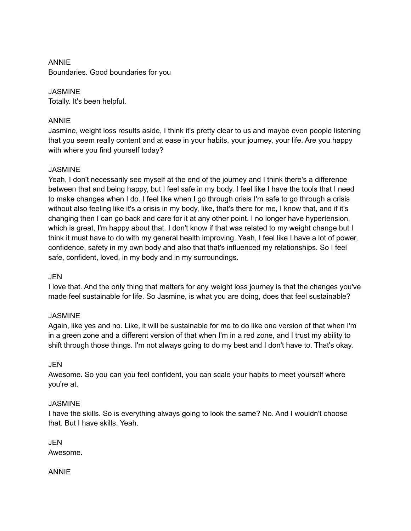### ANNIE Boundaries. Good boundaries for you

**JASMINE** Totally. It's been helpful.

### ANNIE

Jasmine, weight loss results aside, I think it's pretty clear to us and maybe even people listening that you seem really content and at ease in your habits, your journey, your life. Are you happy with where you find yourself today?

### **JASMINE**

Yeah, I don't necessarily see myself at the end of the journey and I think there's a difference between that and being happy, but I feel safe in my body. I feel like I have the tools that I need to make changes when I do. I feel like when I go through crisis I'm safe to go through a crisis without also feeling like it's a crisis in my body, like, that's there for me, I know that, and if it's changing then I can go back and care for it at any other point. I no longer have hypertension, which is great, I'm happy about that. I don't know if that was related to my weight change but I think it must have to do with my general health improving. Yeah, I feel like I have a lot of power, confidence, safety in my own body and also that that's influenced my relationships. So I feel safe, confident, loved, in my body and in my surroundings.

### **JEN**

I love that. And the only thing that matters for any weight loss journey is that the changes you've made feel sustainable for life. So Jasmine, is what you are doing, does that feel sustainable?

### JASMINE

Again, like yes and no. Like, it will be sustainable for me to do like one version of that when I'm in a green zone and a different version of that when I'm in a red zone, and I trust my ability to shift through those things. I'm not always going to do my best and I don't have to. That's okay.

### JEN

Awesome. So you can you feel confident, you can scale your habits to meet yourself where you're at.

### **JASMINE**

I have the skills. So is everything always going to look the same? No. And I wouldn't choose that. But I have skills. Yeah.

JEN Awesome.

ANNIE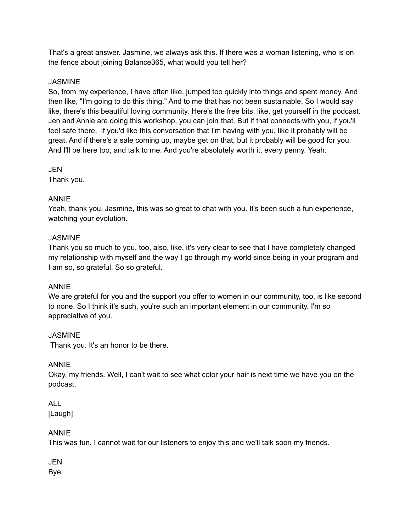That's a great answer. Jasmine, we always ask this. If there was a woman listening, who is on the fence about joining Balance365, what would you tell her?

#### **JASMINE**

So, from my experience, I have often like, jumped too quickly into things and spent money. And then like, "I'm going to do this thing." And to me that has not been sustainable. So I would say like, there's this beautiful loving community. Here's the free bits, like, get yourself in the podcast. Jen and Annie are doing this workshop, you can join that. But if that connects with you, if you'll feel safe there, if you'd like this conversation that I'm having with you, like it probably will be great. And if there's a sale coming up, maybe get on that, but it probably will be good for you. And I'll be here too, and talk to me. And you're absolutely worth it, every penny. Yeah.

#### **JEN**

Thank you.

### ANNIE

Yeah, thank you, Jasmine, this was so great to chat with you. It's been such a fun experience, watching your evolution.

#### JASMINE

Thank you so much to you, too, also, like, it's very clear to see that I have completely changed my relationship with myself and the way I go through my world since being in your program and I am so, so grateful. So so grateful.

#### ANNIE

We are grateful for you and the support you offer to women in our community, too, is like second to none. So I think it's such, you're such an important element in our community. I'm so appreciative of you.

#### **JASMINE**

Thank you. It's an honor to be there.

### ANNIE

Okay, my friends. Well, I can't wait to see what color your hair is next time we have you on the podcast.

## ALL

[Laugh]

### ANNIE

This was fun. I cannot wait for our listeners to enjoy this and we'll talk soon my friends.

### **JEN**

Bye.